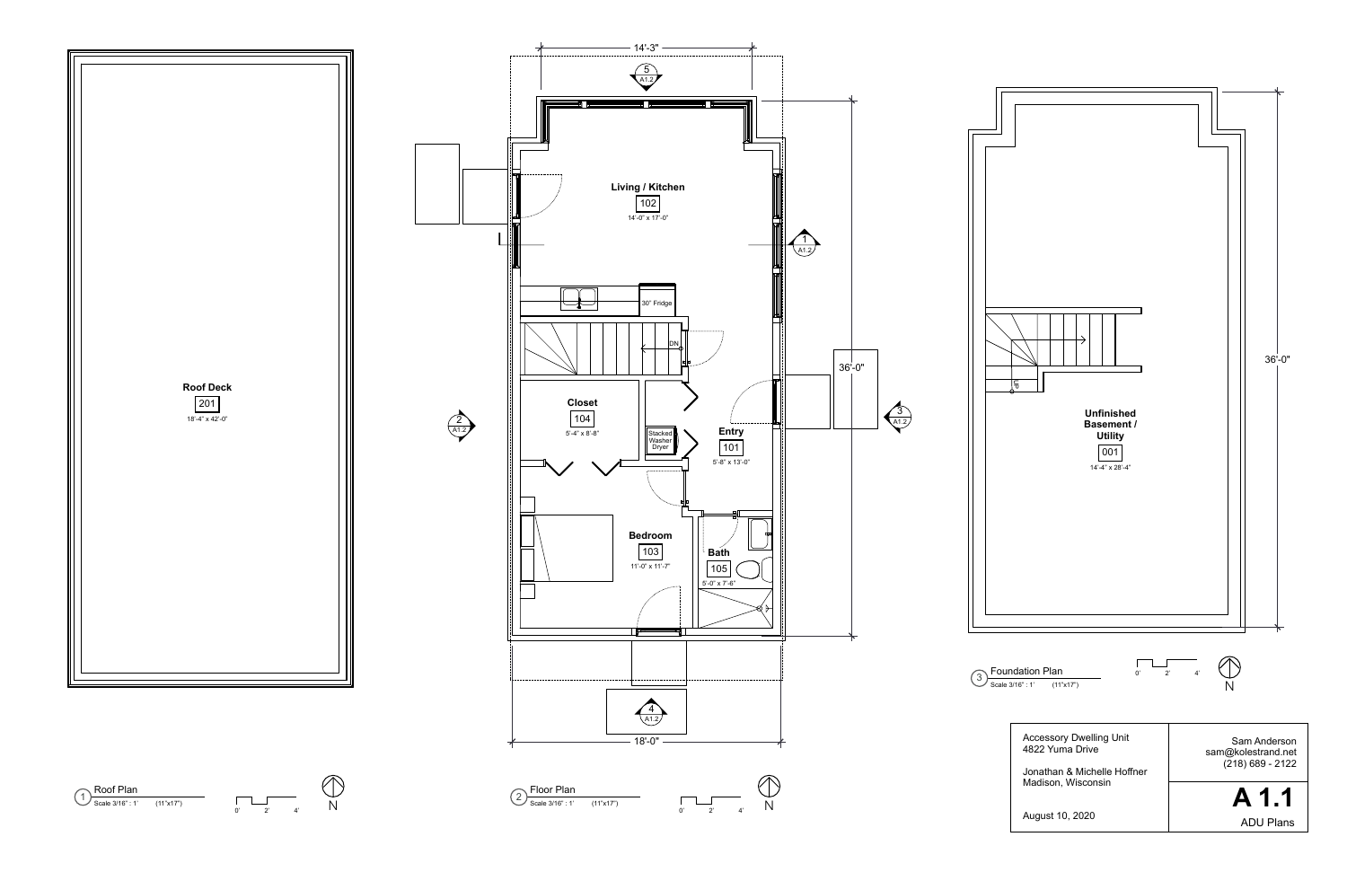